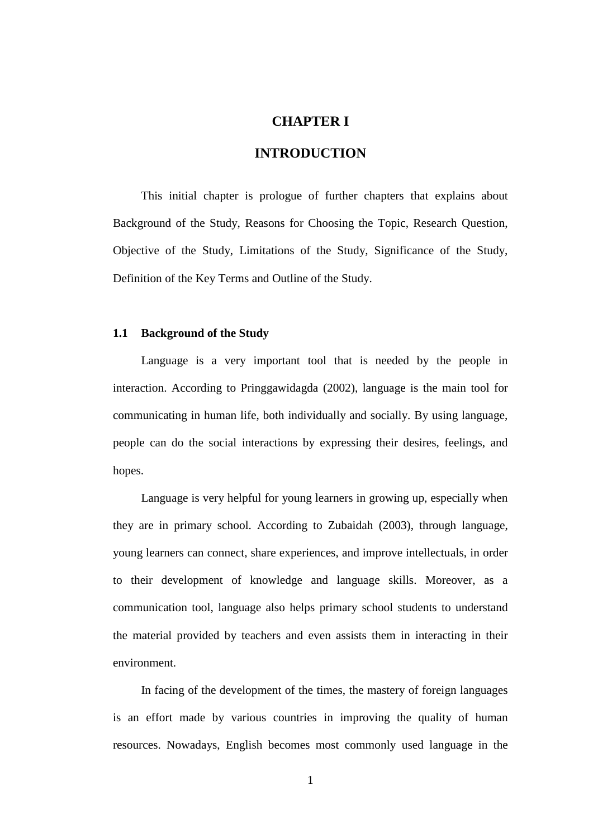# **CHAPTER I**

# **INTRODUCTION**

This initial chapter is prologue of further chapters that explains about Background of the Study, Reasons for Choosing the Topic, Research Question, Objective of the Study, Limitations of the Study, Significance of the Study, Definition of the Key Terms and Outline of the Study.

### **1.1 Background of the Study**

Language is a very important tool that is needed by the people in interaction. According to Pringgawidagda (2002), language is the main tool for communicating in human life, both individually and socially. By using language, people can do the social interactions by expressing their desires, feelings, and hopes.

Language is very helpful for young learners in growing up, especially when they are in primary school. According to Zubaidah (2003), through language, young learners can connect, share experiences, and improve intellectuals, in order to their development of knowledge and language skills. Moreover, as a communication tool, language also helps primary school students to understand the material provided by teachers and even assists them in interacting in their environment.

In facing of the development of the times, the mastery of foreign languages is an effort made by various countries in improving the quality of human resources. Nowadays, English becomes most commonly used language in the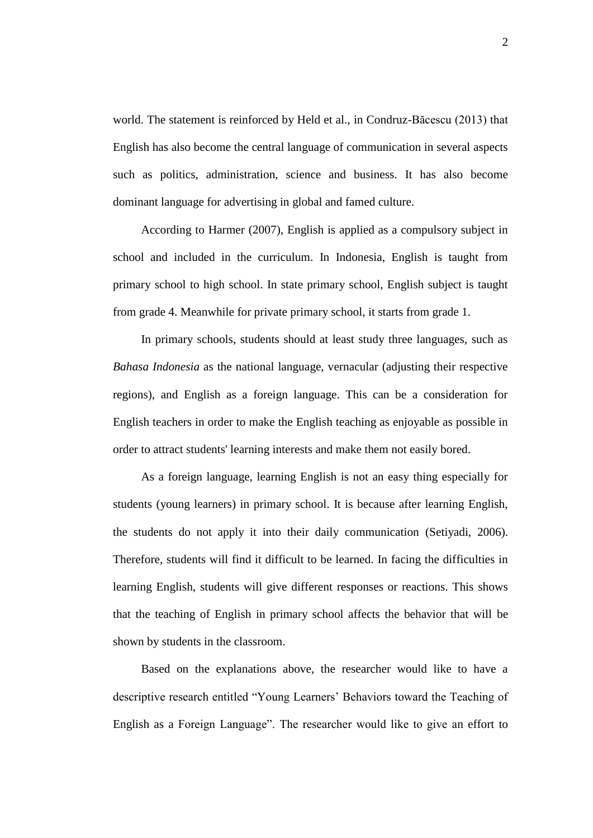world. The statement is reinforced by Held et al., in Condruz-Băcescu (2013) that English has also become the central language of communication in several aspects such as politics, administration, science and business. It has also become dominant language for advertising in global and famed culture.

According to Harmer (2007), English is applied as a compulsory subject in school and included in the curriculum. In Indonesia, English is taught from primary school to high school. In state primary school, English subject is taught from grade 4. Meanwhile for private primary school, it starts from grade 1.

In primary schools, students should at least study three languages, such as *Bahasa Indonesia* as the national language, vernacular (adjusting their respective regions), and English as a foreign language. This can be a consideration for English teachers in order to make the English teaching as enjoyable as possible in order to attract students' learning interests and make them not easily bored.

As a foreign language, learning English is not an easy thing especially for students (young learners) in primary school. It is because after learning English, the students do not apply it into their daily communication (Setiyadi, 2006). Therefore, students will find it difficult to be learned. In facing the difficulties in learning English, students will give different responses or reactions. This shows that the teaching of English in primary school affects the behavior that will be shown by students in the classroom.

Based on the explanations above, the researcher would like to have a descriptive research entitled "Young Learners' Behaviors toward the Teaching of English as a Foreign Language". The researcher would like to give an effort to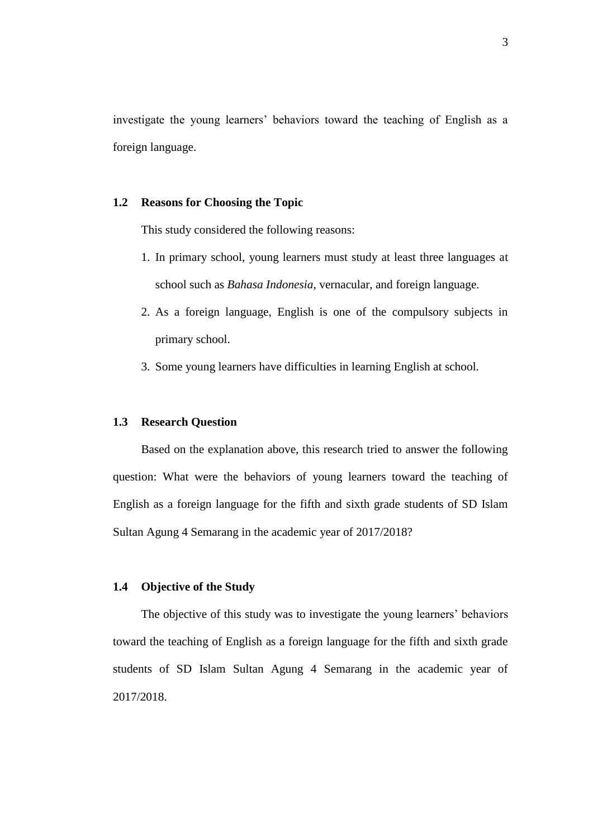investigate the young learners' behaviors toward the teaching of English as a foreign language.

# **1.2 Reasons for Choosing the Topic**

This study considered the following reasons:

- 1. In primary school, young learners must study at least three languages at school such as *Bahasa Indonesia*, vernacular, and foreign language.
- 2. As a foreign language, English is one of the compulsory subjects in primary school.
- 3. Some young learners have difficulties in learning English at school.

#### **1.3 Research Question**

Based on the explanation above, this research tried to answer the following question: What were the behaviors of young learners toward the teaching of English as a foreign language for the fifth and sixth grade students of SD Islam Sultan Agung 4 Semarang in the academic year of 2017/2018?

### **1.4 Objective of the Study**

The objective of this study was to investigate the young learners' behaviors toward the teaching of English as a foreign language for the fifth and sixth grade students of SD Islam Sultan Agung 4 Semarang in the academic year of 2017/2018.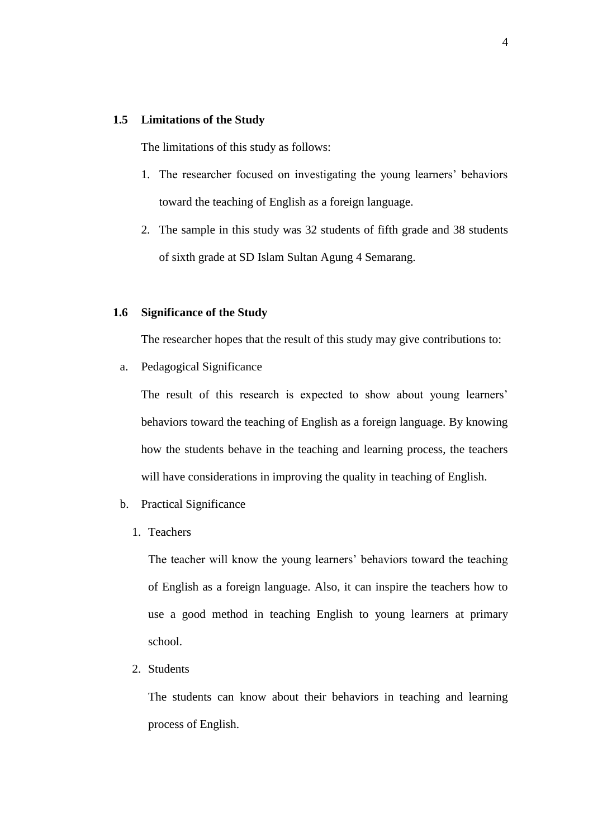### **1.5 Limitations of the Study**

The limitations of this study as follows:

- 1. The researcher focused on investigating the young learners' behaviors toward the teaching of English as a foreign language.
- 2. The sample in this study was 32 students of fifth grade and 38 students of sixth grade at SD Islam Sultan Agung 4 Semarang.

# **1.6 Significance of the Study**

The researcher hopes that the result of this study may give contributions to:

a. Pedagogical Significance

The result of this research is expected to show about young learners' behaviors toward the teaching of English as a foreign language. By knowing how the students behave in the teaching and learning process, the teachers will have considerations in improving the quality in teaching of English.

- b. Practical Significance
	- 1. Teachers

The teacher will know the young learners' behaviors toward the teaching of English as a foreign language. Also, it can inspire the teachers how to use a good method in teaching English to young learners at primary school.

2. Students

The students can know about their behaviors in teaching and learning process of English.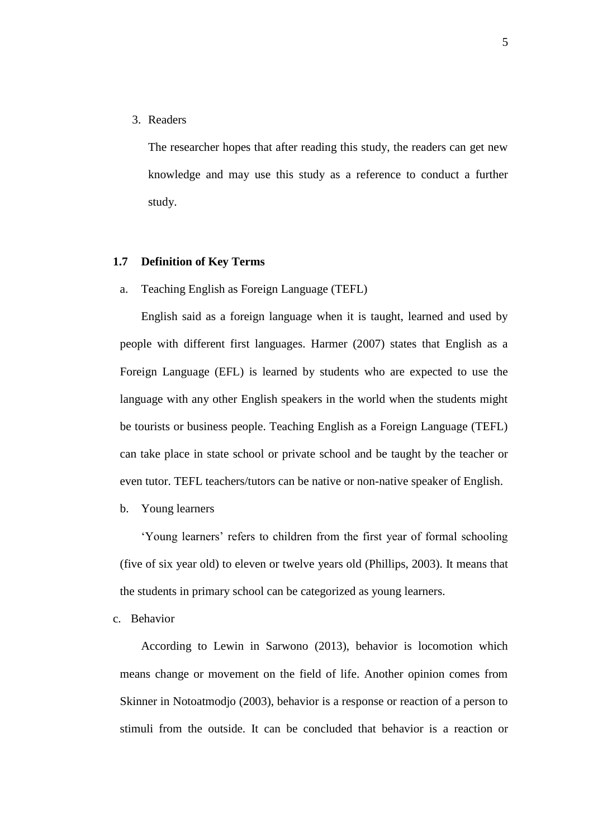3. Readers

The researcher hopes that after reading this study, the readers can get new knowledge and may use this study as a reference to conduct a further study.

#### **1.7 Definition of Key Terms**

a. Teaching English as Foreign Language (TEFL)

English said as a foreign language when it is taught, learned and used by people with different first languages. Harmer (2007) states that English as a Foreign Language (EFL) is learned by students who are expected to use the language with any other English speakers in the world when the students might be tourists or business people. Teaching English as a Foreign Language (TEFL) can take place in state school or private school and be taught by the teacher or even tutor. TEFL teachers/tutors can be native or non-native speaker of English.

b. Young learners

'Young learners' refers to children from the first year of formal schooling (five of six year old) to eleven or twelve years old (Phillips, 2003). It means that the students in primary school can be categorized as young learners.

c. Behavior

According to Lewin in Sarwono (2013), behavior is locomotion which means change or movement on the field of life. Another opinion comes from Skinner in Notoatmodjo (2003), behavior is a response or reaction of a person to stimuli from the outside. It can be concluded that behavior is a reaction or